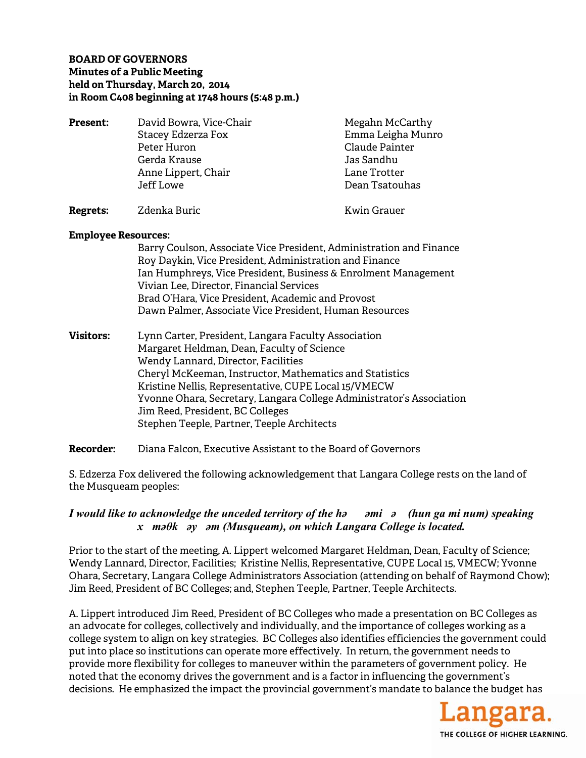## **BOARD OF GOVERNORS Minutes of a Public Meeting held on Thursday, March 20, 2014 in Room C408 beginning at 1748 hours (5:48 p.m.)**

**Present:** David Bowra, Vice-Chair Megahn McCarthy Stacey Edzerza Fox **Emma Leigha Munro**  Peter Huron Claude Painter Gerda Krause Jas Sandhu Anne Lippert, Chair **Lane Trotter**  Jeff Lowe Dean Tsatouhas **Regrets:** Zdenka Buric **Kwin Grauer** Kwin Grauer

#### **Employee Resources:**

Barry Coulson, Associate Vice President, Administration and Finance Roy Daykin, Vice President, Administration and Finance Ian Humphreys, Vice President, Business & Enrolment Management Vivian Lee, Director, Financial Services Brad O'Hara, Vice President, Academic and Provost Dawn Palmer, Associate Vice President, Human Resources

- **Visitors:** Lynn Carter, President, Langara Faculty Association Margaret Heldman, Dean, Faculty of Science Wendy Lannard, Director, Facilities Cheryl McKeeman, Instructor, Mathematics and Statistics Kristine Nellis, Representative, CUPE Local 15/VMECW Yvonne Ohara, Secretary, Langara College Administrator's Association Jim Reed, President, BC Colleges Stephen Teeple, Partner, Teeple Architects
- **Recorder:** Diana Falcon, Executive Assistant to the Board of Governors

S. Edzerza Fox delivered the following acknowledgement that Langara College rests on the land of the Musqueam peoples:

# *I would like to acknowledge the unceded territory of the həəmiə (hun ga mi num) speaking xməθkəyəm (Musqueam), on which Langara College is located.*

Prior to the start of the meeting, A. Lippert welcomed Margaret Heldman, Dean, Faculty of Science; Wendy Lannard, Director, Facilities; Kristine Nellis, Representative, CUPE Local 15, VMECW; Yvonne Ohara, Secretary, Langara College Administrators Association (attending on behalf of Raymond Chow); Jim Reed, President of BC Colleges; and, Stephen Teeple, Partner, Teeple Architects.

A. Lippert introduced Jim Reed, President of BC Colleges who made a presentation on BC Colleges as an advocate for colleges, collectively and individually, and the importance of colleges working as a college system to align on key strategies. BC Colleges also identifies efficiencies the government could put into place so institutions can operate more effectively. In return, the government needs to provide more flexibility for colleges to maneuver within the parameters of government policy. He noted that the economy drives the government and is a factor in influencing the government's decisions. He emphasized the impact the provincial government's mandate to balance the budget has

> angara. THE COLLEGE OF HIGHER LEARNING.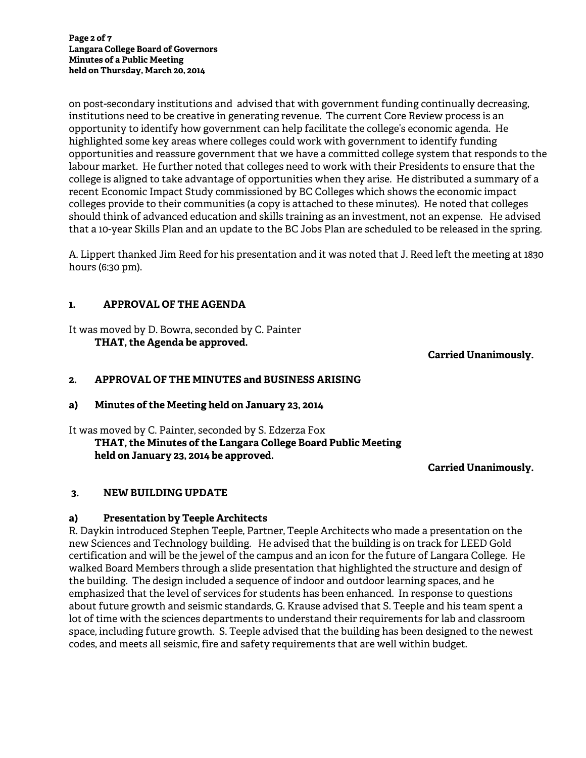on post-secondary institutions and advised that with government funding continually decreasing, institutions need to be creative in generating revenue. The current Core Review process is an opportunity to identify how government can help facilitate the college's economic agenda. He highlighted some key areas where colleges could work with government to identify funding opportunities and reassure government that we have a committed college system that responds to the labour market. He further noted that colleges need to work with their Presidents to ensure that the college is aligned to take advantage of opportunities when they arise. He distributed a summary of a recent Economic Impact Study commissioned by BC Colleges which shows the economic impact colleges provide to their communities (a copy is attached to these minutes). He noted that colleges should think of advanced education and skills training as an investment, not an expense. He advised that a 10-year Skills Plan and an update to the BC Jobs Plan are scheduled to be released in the spring.

A. Lippert thanked Jim Reed for his presentation and it was noted that J. Reed left the meeting at 1830 hours (6:30 pm).

## **1. APPROVAL OF THE AGENDA**

It was moved by D. Bowra, seconded by C. Painter **THAT, the Agenda be approved.** 

**Carried Unanimously.** 

## **2. APPROVAL OF THE MINUTES and BUSINESS ARISING**

## **a) Minutes of the Meeting held on January 23, 2014**

It was moved by C. Painter, seconded by S. Edzerza Fox

 **THAT, the Minutes of the Langara College Board Public Meeting held on January 23, 2014 be approved.** 

**Carried Unanimously.** 

## **3. NEW BUILDING UPDATE**

## **a) Presentation by Teeple Architects**

R. Daykin introduced Stephen Teeple, Partner, Teeple Architects who made a presentation on the new Sciences and Technology building. He advised that the building is on track for LEED Gold certification and will be the jewel of the campus and an icon for the future of Langara College. He walked Board Members through a slide presentation that highlighted the structure and design of the building. The design included a sequence of indoor and outdoor learning spaces, and he emphasized that the level of services for students has been enhanced. In response to questions about future growth and seismic standards, G. Krause advised that S. Teeple and his team spent a lot of time with the sciences departments to understand their requirements for lab and classroom space, including future growth. S. Teeple advised that the building has been designed to the newest codes, and meets all seismic, fire and safety requirements that are well within budget.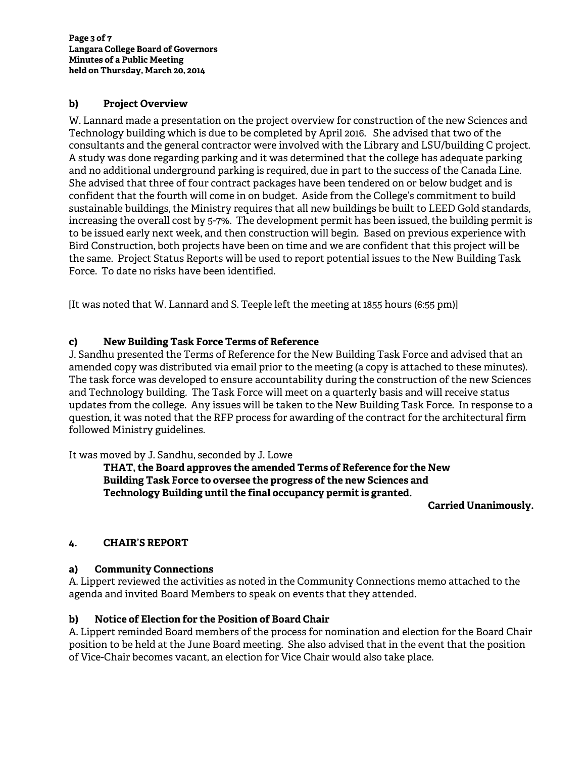## **b) Project Overview**

W. Lannard made a presentation on the project overview for construction of the new Sciences and Technology building which is due to be completed by April 2016. She advised that two of the consultants and the general contractor were involved with the Library and LSU/building C project. A study was done regarding parking and it was determined that the college has adequate parking and no additional underground parking is required, due in part to the success of the Canada Line. She advised that three of four contract packages have been tendered on or below budget and is confident that the fourth will come in on budget. Aside from the College's commitment to build sustainable buildings, the Ministry requires that all new buildings be built to LEED Gold standards, increasing the overall cost by 5-7%. The development permit has been issued, the building permit is to be issued early next week, and then construction will begin. Based on previous experience with Bird Construction, both projects have been on time and we are confident that this project will be the same. Project Status Reports will be used to report potential issues to the New Building Task Force. To date no risks have been identified.

[It was noted that W. Lannard and S. Teeple left the meeting at 1855 hours (6:55 pm)]

## **c) New Building Task Force Terms of Reference**

J. Sandhu presented the Terms of Reference for the New Building Task Force and advised that an amended copy was distributed via email prior to the meeting (a copy is attached to these minutes). The task force was developed to ensure accountability during the construction of the new Sciences and Technology building. The Task Force will meet on a quarterly basis and will receive status updates from the college. Any issues will be taken to the New Building Task Force. In response to a question, it was noted that the RFP process for awarding of the contract for the architectural firm followed Ministry guidelines.

It was moved by J. Sandhu, seconded by J. Lowe

**THAT, the Board approves the amended Terms of Reference for the New Building Task Force to oversee the progress of the new Sciences and Technology Building until the final occupancy permit is granted.** 

**Carried Unanimously.** 

## **4. CHAIR'S REPORT**

## **a) Community Connections**

A. Lippert reviewed the activities as noted in the Community Connections memo attached to the agenda and invited Board Members to speak on events that they attended.

## **b) Notice of Election for the Position of Board Chair**

A. Lippert reminded Board members of the process for nomination and election for the Board Chair position to be held at the June Board meeting. She also advised that in the event that the position of Vice-Chair becomes vacant, an election for Vice Chair would also take place.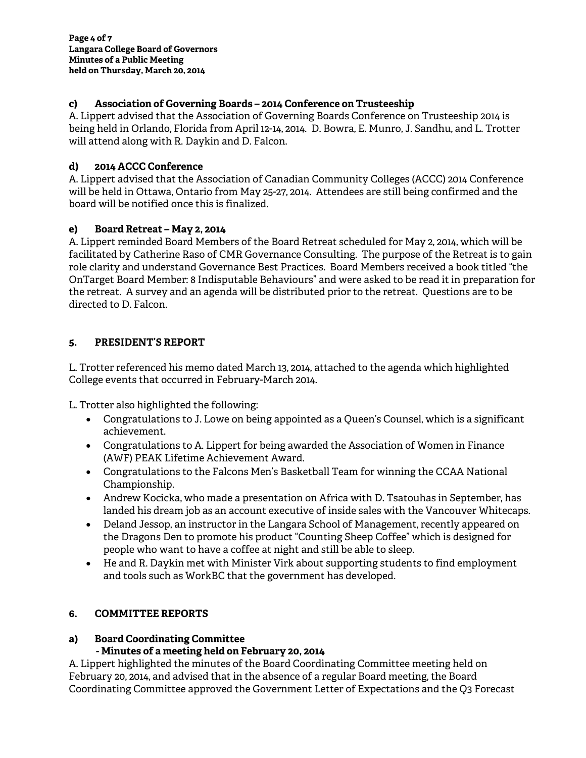## **c) Association of Governing Boards – 2014 Conference on Trusteeship**

A. Lippert advised that the Association of Governing Boards Conference on Trusteeship 2014 is being held in Orlando, Florida from April 12-14, 2014. D. Bowra, E. Munro, J. Sandhu, and L. Trotter will attend along with R. Daykin and D. Falcon.

## **d) 2014 ACCC Conference**

A. Lippert advised that the Association of Canadian Community Colleges (ACCC) 2014 Conference will be held in Ottawa, Ontario from May 25-27, 2014. Attendees are still being confirmed and the board will be notified once this is finalized.

## **e) Board Retreat – May 2, 2014**

A. Lippert reminded Board Members of the Board Retreat scheduled for May 2, 2014, which will be facilitated by Catherine Raso of CMR Governance Consulting. The purpose of the Retreat is to gain role clarity and understand Governance Best Practices. Board Members received a book titled "the OnTarget Board Member: 8 Indisputable Behaviours" and were asked to be read it in preparation for the retreat. A survey and an agenda will be distributed prior to the retreat. Questions are to be directed to D. Falcon.

## **5. PRESIDENT'S REPORT**

L. Trotter referenced his memo dated March 13, 2014, attached to the agenda which highlighted College events that occurred in February-March 2014.

L. Trotter also highlighted the following:

- Congratulations to J. Lowe on being appointed as a Queen's Counsel, which is a significant achievement.
- Congratulations to A. Lippert for being awarded the Association of Women in Finance (AWF) PEAK Lifetime Achievement Award.
- Congratulations to the Falcons Men's Basketball Team for winning the CCAA National Championship.
- Andrew Kocicka, who made a presentation on Africa with D. Tsatouhas in September, has landed his dream job as an account executive of inside sales with the Vancouver Whitecaps.
- Deland Jessop, an instructor in the Langara School of Management, recently appeared on the Dragons Den to promote his product "Counting Sheep Coffee" which is designed for people who want to have a coffee at night and still be able to sleep.
- He and R. Daykin met with Minister Virk about supporting students to find employment and tools such as WorkBC that the government has developed.

## **6. COMMITTEE REPORTS**

# **a) Board Coordinating Committee**

# **- Minutes of a meeting held on February 20, 2014**

A. Lippert highlighted the minutes of the Board Coordinating Committee meeting held on February 20, 2014, and advised that in the absence of a regular Board meeting, the Board Coordinating Committee approved the Government Letter of Expectations and the Q3 Forecast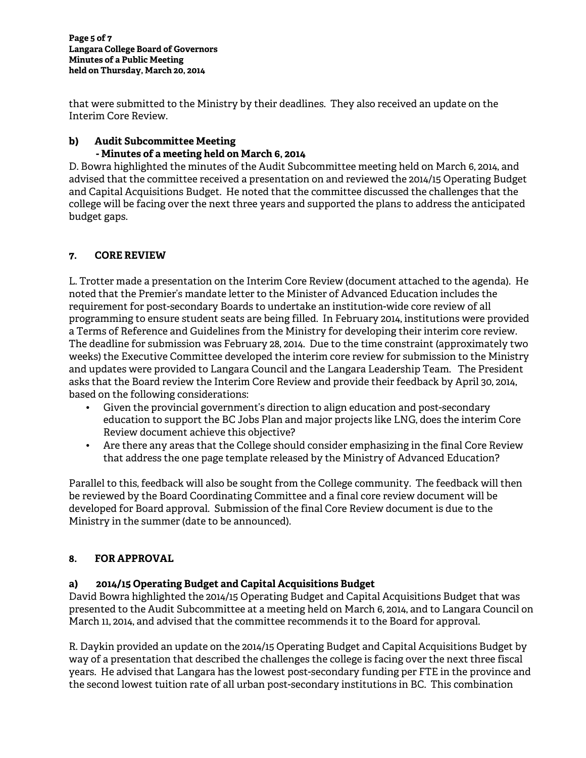that were submitted to the Ministry by their deadlines. They also received an update on the Interim Core Review.

## **b) Audit Subcommittee Meeting - Minutes of a meeting held on March 6, 2014**

D. Bowra highlighted the minutes of the Audit Subcommittee meeting held on March 6, 2014, and advised that the committee received a presentation on and reviewed the 2014/15 Operating Budget and Capital Acquisitions Budget. He noted that the committee discussed the challenges that the college will be facing over the next three years and supported the plans to address the anticipated budget gaps.

# **7. CORE REVIEW**

L. Trotter made a presentation on the Interim Core Review (document attached to the agenda). He noted that the Premier's mandate letter to the Minister of Advanced Education includes the requirement for post-secondary Boards to undertake an institution-wide core review of all programming to ensure student seats are being filled. In February 2014, institutions were provided a Terms of Reference and Guidelines from the Ministry for developing their interim core review. The deadline for submission was February 28, 2014. Due to the time constraint (approximately two weeks) the Executive Committee developed the interim core review for submission to the Ministry and updates were provided to Langara Council and the Langara Leadership Team. The President asks that the Board review the Interim Core Review and provide their feedback by April 30, 2014, based on the following considerations:

- Given the provincial government's direction to align education and post-secondary education to support the BC Jobs Plan and major projects like LNG, does the interim Core Review document achieve this objective?
- Are there any areas that the College should consider emphasizing in the final Core Review that address the one page template released by the Ministry of Advanced Education?

Parallel to this, feedback will also be sought from the College community. The feedback will then be reviewed by the Board Coordinating Committee and a final core review document will be developed for Board approval. Submission of the final Core Review document is due to the Ministry in the summer (date to be announced).

# **8. FOR APPROVAL**

# **a) 2014/15 Operating Budget and Capital Acquisitions Budget**

David Bowra highlighted the 2014/15 Operating Budget and Capital Acquisitions Budget that was presented to the Audit Subcommittee at a meeting held on March 6, 2014, and to Langara Council on March 11, 2014, and advised that the committee recommends it to the Board for approval.

R. Daykin provided an update on the 2014/15 Operating Budget and Capital Acquisitions Budget by way of a presentation that described the challenges the college is facing over the next three fiscal years. He advised that Langara has the lowest post-secondary funding per FTE in the province and the second lowest tuition rate of all urban post-secondary institutions in BC. This combination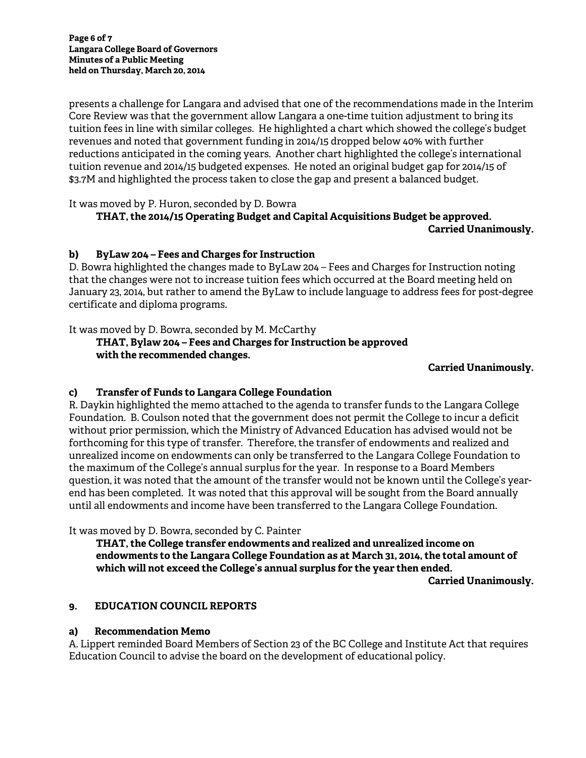presents a challenge for Langara and advised that one of the recommendations made in the Interim Core Review was that the government allow Langara a one-time tuition adjustment to bring its tuition fees in line with similar colleges. He highlighted a chart which showed the college's budget revenues and noted that government funding in 2014/15 dropped below 40% with further reductions anticipated in the coming years. Another chart highlighted the college's international tuition revenue and 2014/15 budgeted expenses. He noted an original budget gap for 2014/15 of \$3.7M and highlighted the process taken to close the gap and present a balanced budget.

It was moved by P. Huron, seconded by D. Bowra

# **THAT, the 2014/15 Operating Budget and Capital Acquisitions Budget be approved. Carried Unanimously.**

## **b) ByLaw 204 – Fees and Charges for Instruction**

D. Bowra highlighted the changes made to ByLaw 204 – Fees and Charges for Instruction noting that the changes were not to increase tuition fees which occurred at the Board meeting held on January 23, 2014, but rather to amend the ByLaw to include language to address fees for post-degree certificate and diploma programs.

It was moved by D. Bowra, seconded by M. McCarthy

# **THAT, Bylaw 204 – Fees and Charges for Instruction be approved with the recommended changes.**

## **Carried Unanimously.**

# **c) Transfer of Funds to Langara College Foundation**

R. Daykin highlighted the memo attached to the agenda to transfer funds to the Langara College Foundation. B. Coulson noted that the government does not permit the College to incur a deficit without prior permission, which the Ministry of Advanced Education has advised would not be forthcoming for this type of transfer. Therefore, the transfer of endowments and realized and unrealized income on endowments can only be transferred to the Langara College Foundation to the maximum of the College's annual surplus for the year. In response to a Board Members question, it was noted that the amount of the transfer would not be known until the College's yearend has been completed. It was noted that this approval will be sought from the Board annually until all endowments and income have been transferred to the Langara College Foundation.

It was moved by D. Bowra, seconded by C. Painter

**THAT, the College transfer endowments and realized and unrealized income on endowments to the Langara College Foundation as at March 31, 2014, the total amount of which will not exceed the College's annual surplus for the year then ended. Carried Unanimously.** 

# **9. EDUCATION COUNCIL REPORTS**

# **a) Recommendation Memo**

A. Lippert reminded Board Members of Section 23 of the BC College and Institute Act that requires Education Council to advise the board on the development of educational policy.